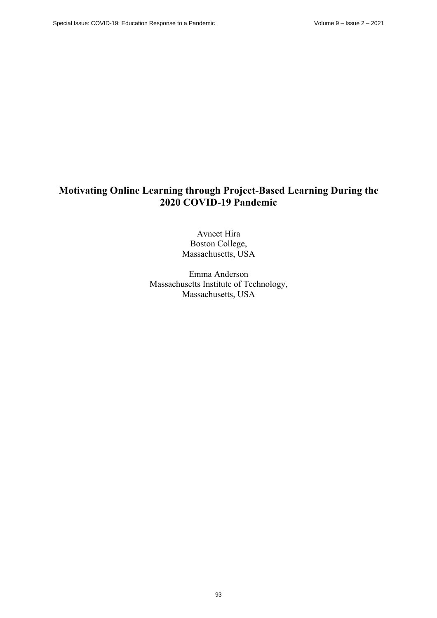# **Motivating Online Learning through Project-Based Learning During the 2020 COVID-19 Pandemic**

Avneet Hira Boston College, Massachusetts, USA

Emma Anderson Massachusetts Institute of Technology, Massachusetts, USA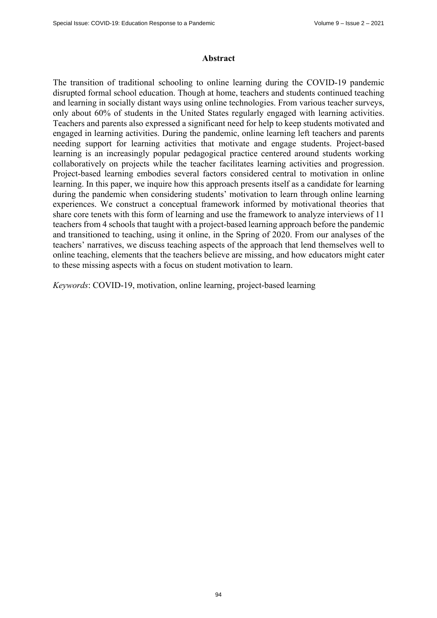#### **Abstract**

The transition of traditional schooling to online learning during the COVID-19 pandemic disrupted formal school education. Though at home, teachers and students continued teaching and learning in socially distant ways using online technologies. From various teacher surveys, only about 60% of students in the United States regularly engaged with learning activities. Teachers and parents also expressed a significant need for help to keep students motivated and engaged in learning activities. During the pandemic, online learning left teachers and parents needing support for learning activities that motivate and engage students. Project-based learning is an increasingly popular pedagogical practice centered around students working collaboratively on projects while the teacher facilitates learning activities and progression. Project-based learning embodies several factors considered central to motivation in online learning. In this paper, we inquire how this approach presents itself as a candidate for learning during the pandemic when considering students' motivation to learn through online learning experiences. We construct a conceptual framework informed by motivational theories that share core tenets with this form of learning and use the framework to analyze interviews of 11 teachers from 4 schools that taught with a project-based learning approach before the pandemic and transitioned to teaching, using it online, in the Spring of 2020. From our analyses of the teachers' narratives, we discuss teaching aspects of the approach that lend themselves well to online teaching, elements that the teachers believe are missing, and how educators might cater to these missing aspects with a focus on student motivation to learn.

*Keywords*: COVID-19, motivation, online learning, project-based learning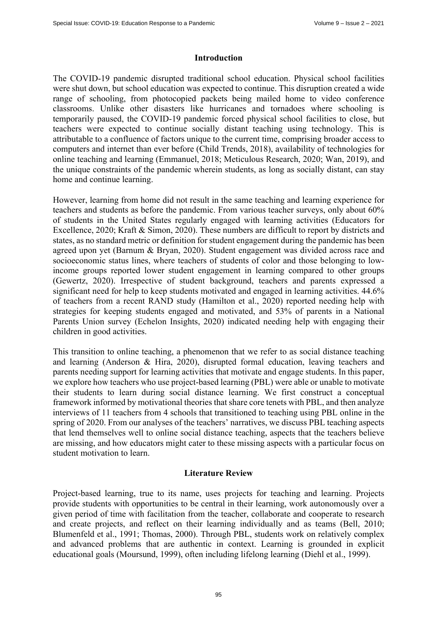## **Introduction**

The COVID-19 pandemic disrupted traditional school education. Physical school facilities were shut down, but school education was expected to continue. This disruption created a wide range of schooling, from photocopied packets being mailed home to video conference classrooms. Unlike other disasters like hurricanes and tornadoes where schooling is temporarily paused, the COVID-19 pandemic forced physical school facilities to close, but teachers were expected to continue socially distant teaching using technology. This is attributable to a confluence of factors unique to the current time, comprising broader access to computers and internet than ever before (Child Trends, 2018), availability of technologies for online teaching and learning (Emmanuel, 2018; Meticulous Research, 2020; Wan, 2019), and the unique constraints of the pandemic wherein students, as long as socially distant, can stay home and continue learning.

However, learning from home did not result in the same teaching and learning experience for teachers and students as before the pandemic. From various teacher surveys, only about 60% of students in the United States regularly engaged with learning activities (Educators for Excellence, 2020; Kraft & Simon, 2020). These numbers are difficult to report by districts and states, as no standard metric or definition for student engagement during the pandemic has been agreed upon yet (Barnum & Bryan, 2020). Student engagement was divided across race and socioeconomic status lines, where teachers of students of color and those belonging to lowincome groups reported lower student engagement in learning compared to other groups (Gewertz, 2020). Irrespective of student background, teachers and parents expressed a significant need for help to keep students motivated and engaged in learning activities. 44.6% of teachers from a recent RAND study (Hamilton et al., 2020) reported needing help with strategies for keeping students engaged and motivated, and 53% of parents in a National Parents Union survey (Echelon Insights, 2020) indicated needing help with engaging their children in good activities.

This transition to online teaching, a phenomenon that we refer to as social distance teaching and learning (Anderson & Hira, 2020), disrupted formal education, leaving teachers and parents needing support for learning activities that motivate and engage students. In this paper, we explore how teachers who use project-based learning (PBL) were able or unable to motivate their students to learn during social distance learning. We first construct a conceptual framework informed by motivational theories that share core tenets with PBL, and then analyze interviews of 11 teachers from 4 schools that transitioned to teaching using PBL online in the spring of 2020. From our analyses of the teachers' narratives, we discuss PBL teaching aspects that lend themselves well to online social distance teaching, aspects that the teachers believe are missing, and how educators might cater to these missing aspects with a particular focus on student motivation to learn.

# **Literature Review**

Project-based learning, true to its name, uses projects for teaching and learning. Projects provide students with opportunities to be central in their learning, work autonomously over a given period of time with facilitation from the teacher, collaborate and cooperate to research and create projects, and reflect on their learning individually and as teams (Bell, 2010; Blumenfeld et al., 1991; Thomas, 2000). Through PBL, students work on relatively complex and advanced problems that are authentic in context. Learning is grounded in explicit educational goals (Moursund, 1999), often including lifelong learning (Diehl et al., 1999).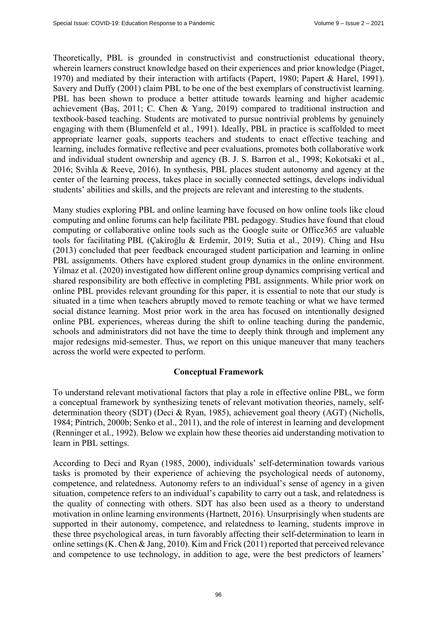Theoretically, PBL is grounded in constructivist and constructionist educational theory, wherein learners construct knowledge based on their experiences and prior knowledge (Piaget, 1970) and mediated by their interaction with artifacts (Papert, 1980; Papert & Harel, 1991). Savery and Duffy (2001) claim PBL to be one of the best exemplars of constructivist learning. PBL has been shown to produce a better attitude towards learning and higher academic achievement (Baş, 2011; C. Chen & Yang, 2019) compared to traditional instruction and textbook-based teaching. Students are motivated to pursue nontrivial problems by genuinely engaging with them (Blumenfeld et al., 1991). Ideally, PBL in practice is scaffolded to meet appropriate learner goals, supports teachers and students to enact effective teaching and learning, includes formative reflective and peer evaluations, promotes both collaborative work and individual student ownership and agency (B. J. S. Barron et al., 1998; Kokotsaki et al., 2016; Svihla & Reeve, 2016). In synthesis, PBL places student autonomy and agency at the center of the learning process, takes place in socially connected settings, develops individual students' abilities and skills, and the projects are relevant and interesting to the students.

Many studies exploring PBL and online learning have focused on how online tools like cloud computing and online forums can help facilitate PBL pedagogy. Studies have found that cloud computing or collaborative online tools such as the Google suite or Office365 are valuable tools for facilitating PBL (Çakiroğlu & Erdemir, 2019; Sutia et al., 2019). Ching and Hsu (2013) concluded that peer feedback encouraged student participation and learning in online PBL assignments. Others have explored student group dynamics in the online environment. Yilmaz et al. (2020) investigated how different online group dynamics comprising vertical and shared responsibility are both effective in completing PBL assignments. While prior work on online PBL provides relevant grounding for this paper, it is essential to note that our study is situated in a time when teachers abruptly moved to remote teaching or what we have termed social distance learning. Most prior work in the area has focused on intentionally designed online PBL experiences, whereas during the shift to online teaching during the pandemic, schools and administrators did not have the time to deeply think through and implement any major redesigns mid-semester. Thus, we report on this unique maneuver that many teachers across the world were expected to perform.

# **Conceptual Framework**

To understand relevant motivational factors that play a role in effective online PBL, we form a conceptual framework by synthesizing tenets of relevant motivation theories, namely, selfdetermination theory (SDT) (Deci & Ryan, 1985), achievement goal theory (AGT) (Nicholls, 1984; Pintrich, 2000b; Senko et al., 2011), and the role of interest in learning and development (Renninger et al., 1992). Below we explain how these theories aid understanding motivation to learn in PBL settings.

According to Deci and Ryan (1985, 2000), individuals' self-determination towards various tasks is promoted by their experience of achieving the psychological needs of autonomy, competence, and relatedness. Autonomy refers to an individual's sense of agency in a given situation, competence refers to an individual's capability to carry out a task, and relatedness is the quality of connecting with others. SDT has also been used as a theory to understand motivation in online learning environments (Hartnett, 2016). Unsurprisingly when students are supported in their autonomy, competence, and relatedness to learning, students improve in these three psychological areas, in turn favorably affecting their self-determination to learn in online settings (K. Chen & Jang, 2010). Kim and Frick (2011) reported that perceived relevance and competence to use technology, in addition to age, were the best predictors of learners'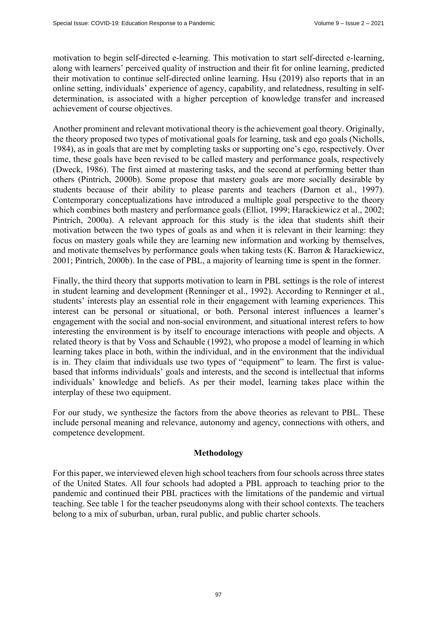motivation to begin self-directed e-learning. This motivation to start self-directed e-learning, along with learners' perceived quality of instruction and their fit for online learning, predicted their motivation to continue self-directed online learning. Hsu (2019) also reports that in an online setting, individuals' experience of agency, capability, and relatedness, resulting in selfdetermination, is associated with a higher perception of knowledge transfer and increased achievement of course objectives.

Another prominent and relevant motivational theory is the achievement goal theory. Originally, the theory proposed two types of motivational goals for learning, task and ego goals (Nicholls, 1984), as in goals that are met by completing tasks or supporting one's ego, respectively. Over time, these goals have been revised to be called mastery and performance goals, respectively (Dweck, 1986). The first aimed at mastering tasks, and the second at performing better than others (Pintrich, 2000b). Some propose that mastery goals are more socially desirable by students because of their ability to please parents and teachers (Darnon et al., 1997). Contemporary conceptualizations have introduced a multiple goal perspective to the theory which combines both mastery and performance goals (Elliot, 1999; Harackiewicz et al., 2002; Pintrich, 2000a). A relevant approach for this study is the idea that students shift their motivation between the two types of goals as and when it is relevant in their learning: they focus on mastery goals while they are learning new information and working by themselves, and motivate themselves by performance goals when taking tests (K. Barron & Harackiewicz, 2001; Pintrich, 2000b). In the case of PBL, a majority of learning time is spent in the former.

Finally, the third theory that supports motivation to learn in PBL settings is the role of interest in student learning and development (Renninger et al., 1992). According to Renninger et al., students' interests play an essential role in their engagement with learning experiences. This interest can be personal or situational, or both. Personal interest influences a learner's engagement with the social and non-social environment, and situational interest refers to how interesting the environment is by itself to encourage interactions with people and objects. A related theory is that by Voss and Schauble (1992), who propose a model of learning in which learning takes place in both, within the individual, and in the environment that the individual is in. They claim that individuals use two types of "equipment" to learn. The first is valuebased that informs individuals' goals and interests, and the second is intellectual that informs individuals' knowledge and beliefs. As per their model, learning takes place within the interplay of these two equipment.

For our study, we synthesize the factors from the above theories as relevant to PBL. These include personal meaning and relevance, autonomy and agency, connections with others, and competence development.

#### **Methodology**

For this paper, we interviewed eleven high school teachers from four schools across three states of the United States. All four schools had adopted a PBL approach to teaching prior to the pandemic and continued their PBL practices with the limitations of the pandemic and virtual teaching. See table 1 for the teacher pseudonyms along with their school contexts. The teachers belong to a mix of suburban, urban, rural public, and public charter schools.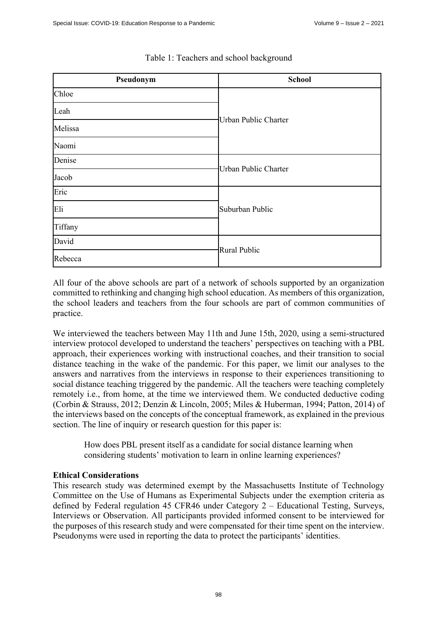| Pseudonym | <b>School</b>        |
|-----------|----------------------|
| Chloe     | Urban Public Charter |
| Leah      |                      |
| Melissa   |                      |
| Naomi     |                      |
| Denise    | Urban Public Charter |
| Jacob     |                      |
| Eric      | Suburban Public      |
| Eli       |                      |
| Tiffany   |                      |
| David     | <b>Rural Public</b>  |
| Rebecca   |                      |

### Table 1: Teachers and school background

All four of the above schools are part of a network of schools supported by an organization committed to rethinking and changing high school education. As members of this organization, the school leaders and teachers from the four schools are part of common communities of practice.

We interviewed the teachers between May 11th and June 15th, 2020, using a semi-structured interview protocol developed to understand the teachers' perspectives on teaching with a PBL approach, their experiences working with instructional coaches, and their transition to social distance teaching in the wake of the pandemic. For this paper, we limit our analyses to the answers and narratives from the interviews in response to their experiences transitioning to social distance teaching triggered by the pandemic. All the teachers were teaching completely remotely i.e., from home, at the time we interviewed them. We conducted deductive coding (Corbin & Strauss, 2012; Denzin & Lincoln, 2005; Miles & Huberman, 1994; Patton, 2014) of the interviews based on the concepts of the conceptual framework, as explained in the previous section. The line of inquiry or research question for this paper is:

How does PBL present itself as a candidate for social distance learning when considering students' motivation to learn in online learning experiences?

# **Ethical Considerations**

This research study was determined exempt by the Massachusetts Institute of Technology Committee on the Use of Humans as Experimental Subjects under the exemption criteria as defined by Federal regulation 45 CFR46 under Category 2 – Educational Testing, Surveys, Interviews or Observation. All participants provided informed consent to be interviewed for the purposes of this research study and were compensated for their time spent on the interview. Pseudonyms were used in reporting the data to protect the participants' identities.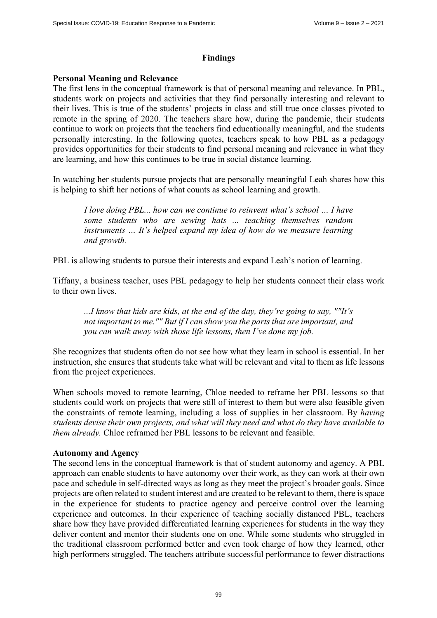## **Findings**

## **Personal Meaning and Relevance**

The first lens in the conceptual framework is that of personal meaning and relevance. In PBL, students work on projects and activities that they find personally interesting and relevant to their lives. This is true of the students' projects in class and still true once classes pivoted to remote in the spring of 2020. The teachers share how, during the pandemic, their students continue to work on projects that the teachers find educationally meaningful, and the students personally interesting. In the following quotes, teachers speak to how PBL as a pedagogy provides opportunities for their students to find personal meaning and relevance in what they are learning, and how this continues to be true in social distance learning.

In watching her students pursue projects that are personally meaningful Leah shares how this is helping to shift her notions of what counts as school learning and growth.

*I love doing PBL... how can we continue to reinvent what's school … I have some students who are sewing hats ... teaching themselves random instruments … It's helped expand my idea of how do we measure learning and growth.* 

PBL is allowing students to pursue their interests and expand Leah's notion of learning.

Tiffany, a business teacher, uses PBL pedagogy to help her students connect their class work to their own lives.

*...I know that kids are kids, at the end of the day, they're going to say, ""It's not important to me."" But if I can show you the parts that are important, and you can walk away with those life lessons, then I've done my job.* 

She recognizes that students often do not see how what they learn in school is essential. In her instruction, she ensures that students take what will be relevant and vital to them as life lessons from the project experiences.

When schools moved to remote learning, Chloe needed to reframe her PBL lessons so that students could work on projects that were still of interest to them but were also feasible given the constraints of remote learning, including a loss of supplies in her classroom. By *having students devise their own projects, and what will they need and what do they have available to them already.* Chloe reframed her PBL lessons to be relevant and feasible.

# **Autonomy and Agency**

The second lens in the conceptual framework is that of student autonomy and agency. A PBL approach can enable students to have autonomy over their work, as they can work at their own pace and schedule in self-directed ways as long as they meet the project's broader goals. Since projects are often related to student interest and are created to be relevant to them, there is space in the experience for students to practice agency and perceive control over the learning experience and outcomes. In their experience of teaching socially distanced PBL, teachers share how they have provided differentiated learning experiences for students in the way they deliver content and mentor their students one on one. While some students who struggled in the traditional classroom performed better and even took charge of how they learned, other high performers struggled. The teachers attribute successful performance to fewer distractions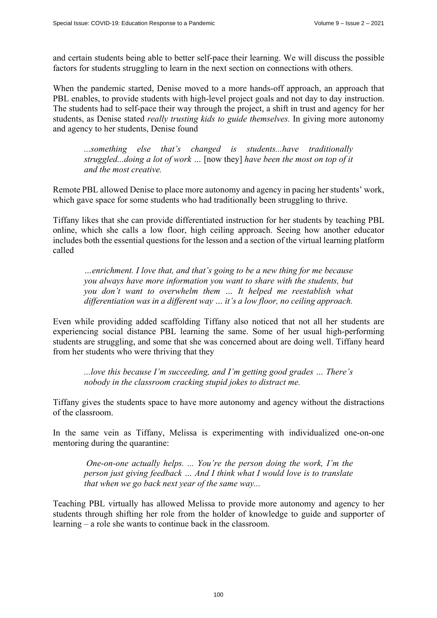and certain students being able to better self-pace their learning. We will discuss the possible factors for students struggling to learn in the next section on connections with others.

When the pandemic started, Denise moved to a more hands-off approach, an approach that PBL enables, to provide students with high-level project goals and not day to day instruction. The students had to self-pace their way through the project, a shift in trust and agency for her students, as Denise stated *really trusting kids to guide themselves.* In giving more autonomy and agency to her students, Denise found

*...something else that's changed is students...have traditionally struggled...doing a lot of work …* [now they] *have been the most on top of it and the most creative.*

Remote PBL allowed Denise to place more autonomy and agency in pacing her students' work, which gave space for some students who had traditionally been struggling to thrive.

Tiffany likes that she can provide differentiated instruction for her students by teaching PBL online, which she calls a low floor, high ceiling approach. Seeing how another educator includes both the essential questions for the lesson and a section of the virtual learning platform called

*…enrichment. I love that, and that's going to be a new thing for me because you always have more information you want to share with the students, but you don't want to overwhelm them … It helped me reestablish what differentiation was in a different way … it's a low floor, no ceiling approach.*

Even while providing added scaffolding Tiffany also noticed that not all her students are experiencing social distance PBL learning the same. Some of her usual high-performing students are struggling, and some that she was concerned about are doing well. Tiffany heard from her students who were thriving that they

*...love this because I'm succeeding, and I'm getting good grades … There's nobody in the classroom cracking stupid jokes to distract me.* 

Tiffany gives the students space to have more autonomy and agency without the distractions of the classroom.

In the same vein as Tiffany, Melissa is experimenting with individualized one-on-one mentoring during the quarantine:

 *One-on-one actually helps. ... You're the person doing the work, I'm the person just giving feedback … And I think what I would love is to translate that when we go back next year of the same way...* 

Teaching PBL virtually has allowed Melissa to provide more autonomy and agency to her students through shifting her role from the holder of knowledge to guide and supporter of learning – a role she wants to continue back in the classroom.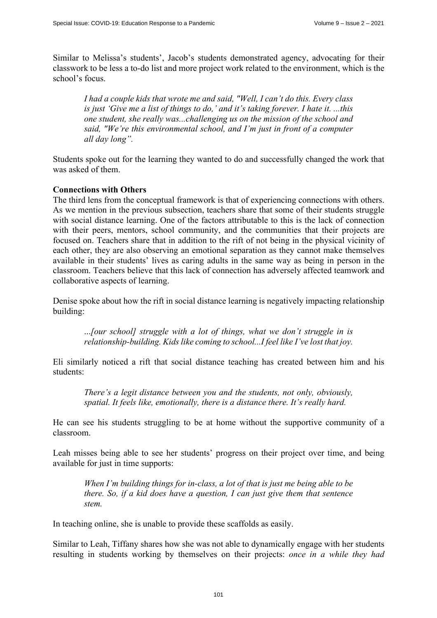Similar to Melissa's students', Jacob's students demonstrated agency, advocating for their classwork to be less a to-do list and more project work related to the environment, which is the school's focus.

*I had a couple kids that wrote me and said, "Well, I can't do this. Every class is just 'Give me a list of things to do,' and it's taking forever. I hate it. ...this one student, she really was...challenging us on the mission of the school and said, "We're this environmental school, and I'm just in front of a computer all day long".* 

Students spoke out for the learning they wanted to do and successfully changed the work that was asked of them.

#### **Connections with Others**

The third lens from the conceptual framework is that of experiencing connections with others. As we mention in the previous subsection, teachers share that some of their students struggle with social distance learning. One of the factors attributable to this is the lack of connection with their peers, mentors, school community, and the communities that their projects are focused on. Teachers share that in addition to the rift of not being in the physical vicinity of each other, they are also observing an emotional separation as they cannot make themselves available in their students' lives as caring adults in the same way as being in person in the classroom. Teachers believe that this lack of connection has adversely affected teamwork and collaborative aspects of learning.

Denise spoke about how the rift in social distance learning is negatively impacting relationship building:

...*[our school] struggle with a lot of things, what we don't struggle in is relationship-building. Kids like coming to school...I feel like I've lost that joy.*

Eli similarly noticed a rift that social distance teaching has created between him and his students:

*There's a legit distance between you and the students, not only, obviously, spatial. It feels like, emotionally, there is a distance there. It's really hard.* 

He can see his students struggling to be at home without the supportive community of a classroom.

Leah misses being able to see her students' progress on their project over time, and being available for just in time supports:

*When I'm building things for in-class, a lot of that is just me being able to be there. So, if a kid does have a question, I can just give them that sentence stem.* 

In teaching online, she is unable to provide these scaffolds as easily.

Similar to Leah, Tiffany shares how she was not able to dynamically engage with her students resulting in students working by themselves on their projects: *once in a while they had*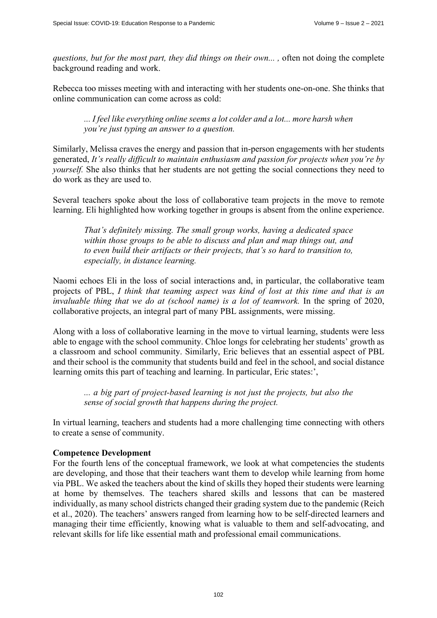*questions, but for the most part, they did things on their own... ,* often not doing the complete background reading and work.

Rebecca too misses meeting with and interacting with her students one-on-one. She thinks that online communication can come across as cold:

*... I feel like everything online seems a lot colder and a lot... more harsh when you're just typing an answer to a question.* 

Similarly, Melissa craves the energy and passion that in-person engagements with her students generated, *It's really difficult to maintain enthusiasm and passion for projects when you're by yourself.* She also thinks that her students are not getting the social connections they need to do work as they are used to.

Several teachers spoke about the loss of collaborative team projects in the move to remote learning. Eli highlighted how working together in groups is absent from the online experience.

*That's definitely missing. The small group works, having a dedicated space within those groups to be able to discuss and plan and map things out, and to even build their artifacts or their projects, that's so hard to transition to, especially, in distance learning.* 

Naomi echoes Eli in the loss of social interactions and, in particular, the collaborative team projects of PBL, *I think that teaming aspect was kind of lost at this time and that is an invaluable thing that we do at (school name) is a lot of teamwork.* In the spring of 2020, collaborative projects, an integral part of many PBL assignments, were missing.

Along with a loss of collaborative learning in the move to virtual learning, students were less able to engage with the school community. Chloe longs for celebrating her students' growth as a classroom and school community. Similarly, Eric believes that an essential aspect of PBL and their school is the community that students build and feel in the school, and social distance learning omits this part of teaching and learning. In particular, Eric states:',

*... a big part of project-based learning is not just the projects, but also the sense of social growth that happens during the project.* 

In virtual learning, teachers and students had a more challenging time connecting with others to create a sense of community.

# **Competence Development**

For the fourth lens of the conceptual framework, we look at what competencies the students are developing, and those that their teachers want them to develop while learning from home via PBL. We asked the teachers about the kind of skills they hoped their students were learning at home by themselves. The teachers shared skills and lessons that can be mastered individually, as many school districts changed their grading system due to the pandemic (Reich et al., 2020). The teachers' answers ranged from learning how to be self-directed learners and managing their time efficiently, knowing what is valuable to them and self-advocating, and relevant skills for life like essential math and professional email communications.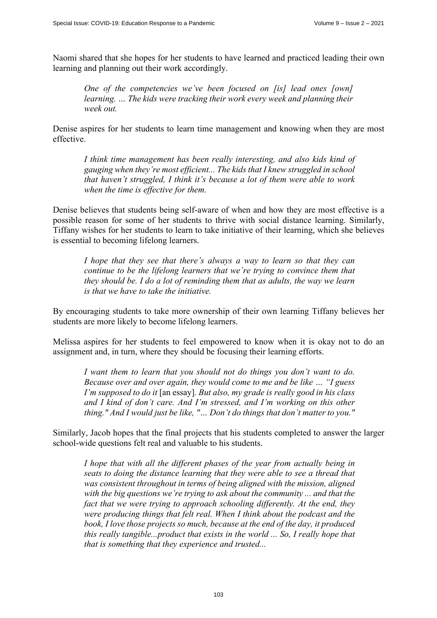Naomi shared that she hopes for her students to have learned and practiced leading their own learning and planning out their work accordingly.

*One of the competencies we've been focused on [is] lead ones [own] learning. … The kids were tracking their work every week and planning their week out.* 

Denise aspires for her students to learn time management and knowing when they are most effective.

*I think time management has been really interesting, and also kids kind of gauging when they're most efficient... The kids that I knew struggled in school that haven't struggled, I think it's because a lot of them were able to work when the time is effective for them.* 

Denise believes that students being self-aware of when and how they are most effective is a possible reason for some of her students to thrive with social distance learning. Similarly, Tiffany wishes for her students to learn to take initiative of their learning, which she believes is essential to becoming lifelong learners.

*I hope that they see that there's always a way to learn so that they can continue to be the lifelong learners that we're trying to convince them that they should be. I do a lot of reminding them that as adults, the way we learn is that we have to take the initiative.* 

By encouraging students to take more ownership of their own learning Tiffany believes her students are more likely to become lifelong learners.

Melissa aspires for her students to feel empowered to know when it is okay not to do an assignment and, in turn, where they should be focusing their learning efforts.

*I want them to learn that you should not do things you don't want to do. Because over and over again, they would come to me and be like … "I guess I'm supposed to do it* [an essay]*. But also, my grade is really good in his class and I kind of don't care. And I'm stressed, and I'm working on this other thing." And I would just be like, "… Don't do things that don't matter to you."* 

Similarly, Jacob hopes that the final projects that his students completed to answer the larger school-wide questions felt real and valuable to his students.

*I hope that with all the different phases of the year from actually being in seats to doing the distance learning that they were able to see a thread that was consistent throughout in terms of being aligned with the mission, aligned with the big questions we're trying to ask about the community ... and that the fact that we were trying to approach schooling differently. At the end, they were producing things that felt real. When I think about the podcast and the book, I love those projects so much, because at the end of the day, it produced this really tangible...product that exists in the world ... So, I really hope that that is something that they experience and trusted...*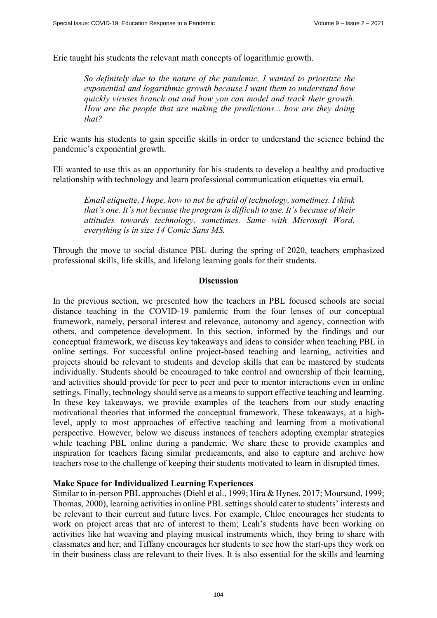Eric taught his students the relevant math concepts of logarithmic growth.

*So definitely due to the nature of the pandemic, I wanted to prioritize the exponential and logarithmic growth because I want them to understand how quickly viruses branch out and how you can model and track their growth. How are the people that are making the predictions... how are they doing that?* 

Eric wants his students to gain specific skills in order to understand the science behind the pandemic's exponential growth.

Eli wanted to use this as an opportunity for his students to develop a healthy and productive relationship with technology and learn professional communication etiquettes via email.

*Email etiquette, I hope, how to not be afraid of technology, sometimes. I think that's one. It's not because the program is difficult to use. It's because of their attitudes towards technology, sometimes. Same with Microsoft Word, everything is in size 14 Comic Sans MS.* 

Through the move to social distance PBL during the spring of 2020, teachers emphasized professional skills, life skills, and lifelong learning goals for their students.

## **Discussion**

In the previous section, we presented how the teachers in PBL focused schools are social distance teaching in the COVID-19 pandemic from the four lenses of our conceptual framework, namely, personal interest and relevance, autonomy and agency, connection with others, and competence development. In this section, informed by the findings and our conceptual framework, we discuss key takeaways and ideas to consider when teaching PBL in online settings. For successful online project-based teaching and learning, activities and projects should be relevant to students and develop skills that can be mastered by students individually. Students should be encouraged to take control and ownership of their learning, and activities should provide for peer to peer and peer to mentor interactions even in online settings. Finally, technology should serve as a means to support effective teaching and learning. In these key takeaways, we provide examples of the teachers from our study enacting motivational theories that informed the conceptual framework. These takeaways, at a highlevel, apply to most approaches of effective teaching and learning from a motivational perspective. However, below we discuss instances of teachers adopting exemplar strategies while teaching PBL online during a pandemic. We share these to provide examples and inspiration for teachers facing similar predicaments, and also to capture and archive how teachers rose to the challenge of keeping their students motivated to learn in disrupted times.

#### **Make Space for Individualized Learning Experiences**

Similar to in-person PBL approaches (Diehl et al., 1999; Hira & Hynes, 2017; Moursund, 1999; Thomas, 2000), learning activities in online PBL settings should cater to students' interests and be relevant to their current and future lives. For example, Chloe encourages her students to work on project areas that are of interest to them; Leah's students have been working on activities like hat weaving and playing musical instruments which, they bring to share with classmates and her; and Tiffany encourages her students to see how the start-ups they work on in their business class are relevant to their lives. It is also essential for the skills and learning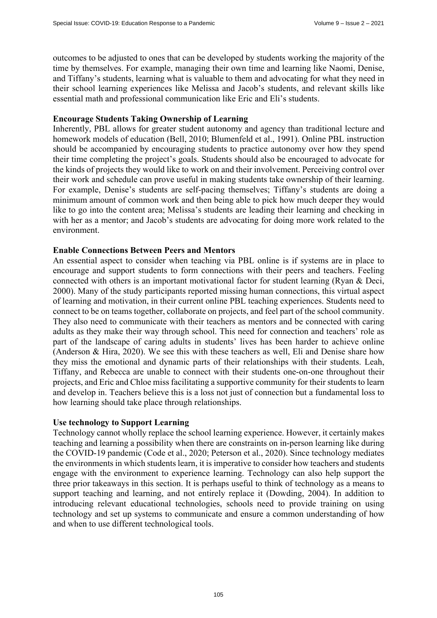outcomes to be adjusted to ones that can be developed by students working the majority of the time by themselves. For example, managing their own time and learning like Naomi, Denise, and Tiffany's students, learning what is valuable to them and advocating for what they need in their school learning experiences like Melissa and Jacob's students, and relevant skills like essential math and professional communication like Eric and Eli's students.

#### **Encourage Students Taking Ownership of Learning**

Inherently, PBL allows for greater student autonomy and agency than traditional lecture and homework models of education (Bell, 2010; Blumenfeld et al., 1991). Online PBL instruction should be accompanied by encouraging students to practice autonomy over how they spend their time completing the project's goals. Students should also be encouraged to advocate for the kinds of projects they would like to work on and their involvement. Perceiving control over their work and schedule can prove useful in making students take ownership of their learning. For example, Denise's students are self-pacing themselves; Tiffany's students are doing a minimum amount of common work and then being able to pick how much deeper they would like to go into the content area; Melissa's students are leading their learning and checking in with her as a mentor; and Jacob's students are advocating for doing more work related to the environment.

#### **Enable Connections Between Peers and Mentors**

An essential aspect to consider when teaching via PBL online is if systems are in place to encourage and support students to form connections with their peers and teachers. Feeling connected with others is an important motivational factor for student learning (Ryan & Deci, 2000). Many of the study participants reported missing human connections, this virtual aspect of learning and motivation, in their current online PBL teaching experiences. Students need to connect to be on teams together, collaborate on projects, and feel part of the school community. They also need to communicate with their teachers as mentors and be connected with caring adults as they make their way through school. This need for connection and teachers' role as part of the landscape of caring adults in students' lives has been harder to achieve online (Anderson & Hira, 2020). We see this with these teachers as well, Eli and Denise share how they miss the emotional and dynamic parts of their relationships with their students. Leah, Tiffany, and Rebecca are unable to connect with their students one-on-one throughout their projects, and Eric and Chloe miss facilitating a supportive community for their students to learn and develop in. Teachers believe this is a loss not just of connection but a fundamental loss to how learning should take place through relationships.

#### **Use technology to Support Learning**

Technology cannot wholly replace the school learning experience. However, it certainly makes teaching and learning a possibility when there are constraints on in-person learning like during the COVID-19 pandemic (Code et al., 2020; Peterson et al., 2020). Since technology mediates the environments in which students learn, it is imperative to consider how teachers and students engage with the environment to experience learning. Technology can also help support the three prior takeaways in this section. It is perhaps useful to think of technology as a means to support teaching and learning, and not entirely replace it (Dowding, 2004). In addition to introducing relevant educational technologies, schools need to provide training on using technology and set up systems to communicate and ensure a common understanding of how and when to use different technological tools.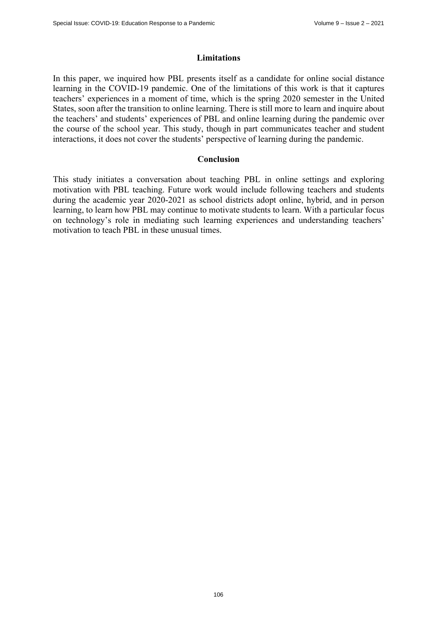### **Limitations**

In this paper, we inquired how PBL presents itself as a candidate for online social distance learning in the COVID-19 pandemic. One of the limitations of this work is that it captures teachers' experiences in a moment of time, which is the spring 2020 semester in the United States, soon after the transition to online learning. There is still more to learn and inquire about the teachers' and students' experiences of PBL and online learning during the pandemic over the course of the school year. This study, though in part communicates teacher and student interactions, it does not cover the students' perspective of learning during the pandemic.

## **Conclusion**

This study initiates a conversation about teaching PBL in online settings and exploring motivation with PBL teaching. Future work would include following teachers and students during the academic year 2020-2021 as school districts adopt online, hybrid, and in person learning, to learn how PBL may continue to motivate students to learn. With a particular focus on technology's role in mediating such learning experiences and understanding teachers' motivation to teach PBL in these unusual times.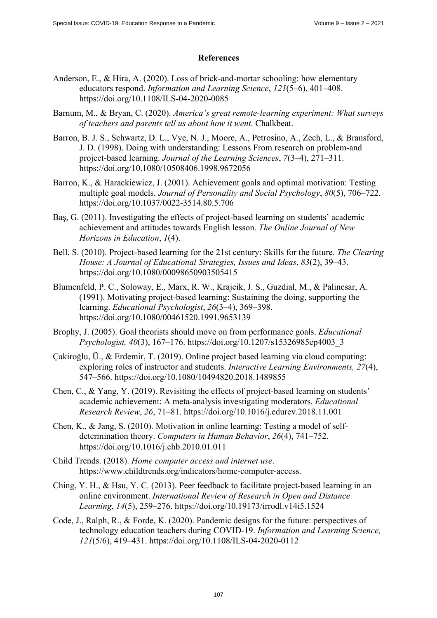# **References**

- Anderson, E., & Hira, A. (2020). Loss of brick-and-mortar schooling: how elementary educators respond. *Information and Learning Science*, *121*(5–6), 401–408. <https://doi.org/10.1108/ILS-04-2020-0085>
- Barnum, M., & Bryan, C. (2020). *America's great remote-learning experiment: What surveys of teachers and parents tell us about how it went*. Chalkbeat.
- Barron, B. J. S., Schwartz, D. L., Vye, N. J., Moore, A., Petrosino, A., Zech, L., & Bransford, J. D. (1998). Doing with understanding: Lessons From research on problem-and project-based learning. *Journal of the Learning Sciences*, *7*(3–4), 271–311. <https://doi.org/10.1080/10508406.1998.9672056>
- Barron, K., & Harackiewicz, J. (2001). Achievement goals and optimal motivation: Testing multiple goal models. *Journal of Personality and Social Psychology*, *80*(5), 706–722. <https://doi.org/10.1037/0022-3514.80.5.706>
- Baş, G. (2011). Investigating the effects of project-based learning on students' academic achievement and attitudes towards English lesson. *The Online Journal of New Horizons in Education*, *1*(4).
- Bell, S. (2010). Project-based learning for the 21st century: Skills for the future. *The Clearing House: A Journal of Educational Strategies, Issues and Ideas*, *83*(2), 39–43. <https://doi.org/10.1080/00098650903505415>
- Blumenfeld, P. C., Soloway, E., Marx, R. W., Krajcik, J. S., Guzdial, M., & Palincsar, A. (1991). Motivating project-based learning: Sustaining the doing, supporting the learning. *Educational Psychologist*, *26*(3–4), 369–398. <https://doi.org/10.1080/00461520.1991.9653139>
- Brophy, J. (2005). Goal theorists should move on from performance goals. *Educational Psychologist, 40*(3), 167–176. [https://doi.org/10.1207/s15326985ep4003\\_3](https://doi.org/10.1207/s15326985ep4003_3)
- Çakiroğlu, Ü., & Erdemir, T. (2019). Online project based learning via cloud computing: exploring roles of instructor and students. *Interactive Learning Environments, 27*(4), 547–566.<https://doi.org/10.1080/10494820.2018.1489855>
- Chen, C., & Yang, Y. (2019). Revisiting the effects of project-based learning on students' academic achievement: A meta-analysis investigating moderators. *Educational Research Review*, *26*, 71–81.<https://doi.org/10.1016/j.edurev.2018.11.001>
- Chen, K., & Jang, S. (2010). Motivation in online learning: Testing a model of selfdetermination theory. *Computers in Human Behavior*, *26*(4), 741–752. <https://doi.org/10.1016/j.chb.2010.01.011>
- Child Trends. (2018). *Home computer access and internet use*. [https://www.childtrends.org/indicators/home-computer-access.](https://www.childtrends.org/indicators/home-computer-access)
- Ching, Y. H., & Hsu, Y. C. (2013). Peer feedback to facilitate project-based learning in an online environment. *International Review of Research in Open and Distance Learning*, *14*(5), 259–276.<https://doi.org/10.19173/irrodl.v14i5.1524>
- Code, J., Ralph, R., & Forde, K. (2020). Pandemic designs for the future: perspectives of technology education teachers during COVID-19. *Information and Learning Science, 121*(5/6), 419–431.<https://doi.org/10.1108/ILS-04-2020-0112>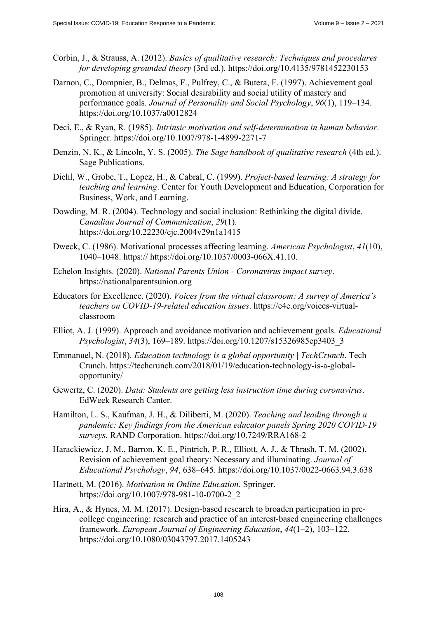- Corbin, J., & Strauss, A. (2012). *Basics of qualitative research: Techniques and procedures for developing grounded theory* (3rd ed.). <https://doi.org/10.4135/9781452230153>
- Darnon, C., Dompnier, B., Delmas, F., Pulfrey, C., & Butera, F. (1997). Achievement goal promotion at university: Social desirability and social utility of mastery and performance goals. *Journal of Personality and Social Psychology*, *96*(1), 119–134. <https://doi.org/10.1037/a0012824>
- Deci, E., & Ryan, R. (1985). *Intrinsic motivation and self-determination in human behavior*. Springer.<https://doi.org/10.1007/978-1-4899-2271-7>
- Denzin, N. K., & Lincoln, Y. S. (2005). *The Sage handbook of qualitative research* (4th ed.). Sage Publications.
- Diehl, W., Grobe, T., Lopez, H., & Cabral, C. (1999). *Project-based learning: A strategy for teaching and learning*. Center for Youth Development and Education, Corporation for Business, Work, and Learning.
- Dowding, M. R. (2004). Technology and social inclusion: Rethinking the digital divide. *Canadian Journal of Communication*, *29*(1). <https://doi.org/10.22230/cjc.2004v29n1a1415>
- Dweck, C. (1986). Motivational processes affecting learning. *American Psychologist*, *41*(10), 1040–1048. [https:// https://do](https://)[i.org/10.1037/0003-066X.41.10.](https://doi.org/10.1037/0003-066X.41.10)
- Echelon Insights. (2020). *National Parents Union Coronavirus impact survey*. <https://nationalparentsunion.org>
- Educators for Excellence. (2020). *Voices from the virtual classroom: A survey of America's [teachers on COVID-19-related education issues](https://e4e.org/voices-virtual-classroomElliot)*. [https://e4e.org/voices-vir](https://e4e.org/voices-virtual-classroomElliot)tualclassroom
- [Elliot, A.](https://e4e.org/voices-virtual-classroomElliot) J. (1999). Approach and avoidance motivation and achievement goals. *Educational Psychologist*, *34*(3), 169–189. [https://doi.org/10.1207/s15326985ep3403\\_3](https://doi.org/10.1207/s15326985ep3403_3)
- Emmanuel, N. (2018). *Education technology is a global opportunity | TechCrunch*. Tech [Crunch. https://techcrunch.com/2018/01/19/education-technology-is-a-global](https://techcrunch.com/2018/01/19/education-technology-is-a-global-opportunity/Gewertz)opportunity/
- [Gewertz, C.](https://techcrunch.com/2018/01/19/education-technology-is-a-global-opportunity/Gewertz) (2020). *Data: Students are getting less instruction time during coronavirus*. EdWeek Research Canter.
- Hamilton, L. S., Kaufman, J. H., & Diliberti, M. (2020). *Teaching and leading through a pandemic: Key findings from the American educator panels Spring 2020 COVID-19 surveys*. RAND Corporation. <https://doi.org/10.7249/RRA168-2>
- Harackiewicz, J. M., Barron, K. E., Pintrich, P. R., Elliott, A. J., & Thrash, T. M. (2002). Revision of achievement goal theory: Necessary and illuminating. *Journal of Educational Psychology*, *94*, 638–645. <https://doi.org/10.1037/0022-0663.94.3.638>
- Hartnett, M. (2016). *Motivation in Online Education*. Springer. [https://doi.org/10.1007/978-981-10-0700-2\\_2](https://doi.org/10.1007/978-981-10-0700-2_2)
- Hira, A., & Hynes, M. M. (2017). Design-based research to broaden participation in precollege engineering: research and practice of an interest-based engineering challenges framework. *European Journal of Engineering Education*, *44*(1–2), 103–122. <https://doi.org/10.1080/03043797.2017.1405243>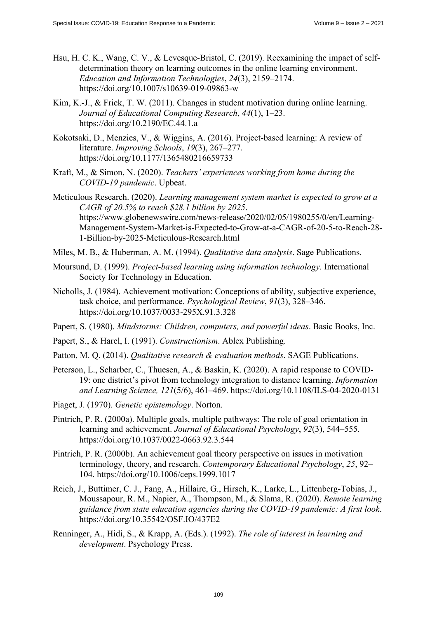- Hsu, H. C. K., Wang, C. V., & Levesque-Bristol, C. (2019). Reexamining the impact of selfdetermination theory on learning outcomes in the online learning environment. *Education and Information Technologies*, *24*(3), 2159–2174. <https://doi.org/10.1007/s10639-019-09863-w>
- Kim, K.-J., & Frick, T. W. (2011). Changes in student motivation during online learning. *Journal of Educational Computing Research*, *44*(1), 1–23. <https://doi.org/10.2190/EC.44.1.a>
- Kokotsaki, D., Menzies, V., & Wiggins, A. (2016). Project-based learning: A review of literature. *Improving Schools*, *19*(3), 267–277. <https://doi.org/10.1177/1365480216659733>
- Kraft, M., & Simon, N. (2020). *Teachers' experiences working from home during the COVID-19 pandemic*. Upbeat.
- Meticulous Research. (2020). *Learning management system market is expected to grow at a CAGR of 20.5% to reach \$28.1 billion by 2025*. [https://www.globenewswire.com/news-release/2020/02/05/1980255/0/en/Learning-](https://www.globenewswire.com/news-release/2020/02/05/1980255/0/en/Learning-Management-System-Market-is-Expected-to-Grow-at-a-CAGR-of-20-5-to-Reach-28-1-Billion-by-2025-Meticulous-Research.html)[Management-System-Market-is-Expected-to-Grow-at-a-CAGR-of-20-5-to-Reach-28-](https://www.globenewswire.com/news-release/2020/02/05/1980255/0/en/Learning-Management-System-Market-is-Expected-to-Grow-at-a-CAGR-of-20-5-to-Reach-28-1-Billion-by-2025-Meticulous-Research.html) [1-Billion-by-2025-Meticulous-Research.html](https://www.globenewswire.com/news-release/2020/02/05/1980255/0/en/Learning-Management-System-Market-is-Expected-to-Grow-at-a-CAGR-of-20-5-to-Reach-28-1-Billion-by-2025-Meticulous-Research.html)
- Miles, M. B., & Huberman, A. M. (1994). *Qualitative data analysis*. Sage Publications.
- Moursund, D. (1999). *Project-based learning using information technology*. International Society for Technology in Education.
- Nicholls, J. (1984). Achievement motivation: Conceptions of ability, subjective experience, task choice, and performance. *Psychological Review*, *91*(3), 328–346. <https://doi.org/10.1037/0033-295X.91.3.328>
- Papert, S. (1980). *Mindstorms: Children, computers, and powerful ideas*. Basic Books, Inc.
- Papert, S., & Harel, I. (1991). *Constructionism*. Ablex Publishing.
- Patton, M. Q. (2014). *Qualitative research & evaluation methods*. SAGE Publications.
- Peterson, L., Scharber, C., Thuesen, A., & Baskin, K. (2020). A rapid response to COVID-19: one district's pivot from technology integration to distance learning. *Information and Learning Science, 121*(5/6), 461–469. <https://doi.org/10.1108/ILS-04-2020-0131>
- Piaget, J. (1970). *Genetic epistemology*. Norton.
- Pintrich, P. R. (2000a). Multiple goals, multiple pathways: The role of goal orientation in learning and achievement. *Journal of Educational Psychology*, *92*(3), 544–555. <https://doi.org/10.1037/0022-0663.92.3.544>
- Pintrich, P. R. (2000b). An achievement goal theory perspective on issues in motivation terminology, theory, and research. *Contemporary Educational Psychology*, *25*, 92– 104. <https://doi.org/10.1006/ceps.1999.1017>
- Reich, J., Buttimer, C. J., Fang, A., Hillaire, G., Hirsch, K., Larke, L., Littenberg-Tobias, J., Moussapour, R. M., Napier, A., Thompson, M., & Slama, R. (2020). *Remote learning guidance from state education agencies during the COVID-19 pandemic: A first look*. <https://doi.org/10.35542/OSF.IO/437E2>
- Renninger, A., Hidi, S., & Krapp, A. (Eds.). (1992). *The role of interest in learning and development*. Psychology Press.